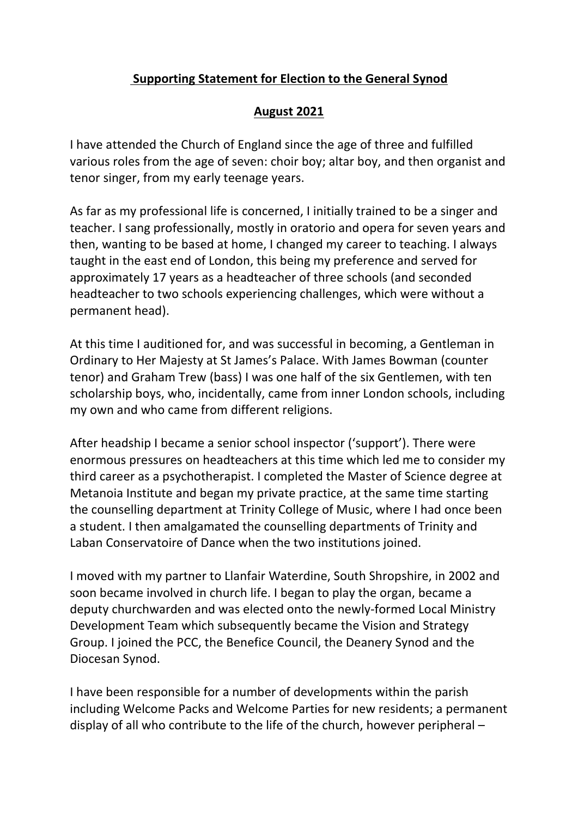## **Supporting Statement for Election to the General Synod**

## **August 2021**

I have attended the Church of England since the age of three and fulfilled various roles from the age of seven: choir boy; altar boy, and then organist and tenor singer, from my early teenage years.

As far as my professional life is concerned, I initially trained to be a singer and teacher. I sang professionally, mostly in oratorio and opera for seven years and then, wanting to be based at home, I changed my career to teaching. I always taught in the east end of London, this being my preference and served for approximately 17 years as a headteacher of three schools (and seconded headteacher to two schools experiencing challenges, which were without a permanent head).

At this time I auditioned for, and was successful in becoming, a Gentleman in Ordinary to Her Majesty at St James's Palace. With James Bowman (counter tenor) and Graham Trew (bass) I was one half of the six Gentlemen, with ten scholarship boys, who, incidentally, came from inner London schools, including my own and who came from different religions.

After headship I became a senior school inspector ('support'). There were enormous pressures on headteachers at this time which led me to consider my third career as a psychotherapist. I completed the Master of Science degree at Metanoia Institute and began my private practice, at the same time starting the counselling department at Trinity College of Music, where I had once been a student. I then amalgamated the counselling departments of Trinity and Laban Conservatoire of Dance when the two institutions joined.

I moved with my partner to Llanfair Waterdine, South Shropshire, in 2002 and soon became involved in church life. I began to play the organ, became a deputy churchwarden and was elected onto the newly-formed Local Ministry Development Team which subsequently became the Vision and Strategy Group. I joined the PCC, the Benefice Council, the Deanery Synod and the Diocesan Synod.

I have been responsible for a number of developments within the parish including Welcome Packs and Welcome Parties for new residents; a permanent display of all who contribute to the life of the church, however peripheral –